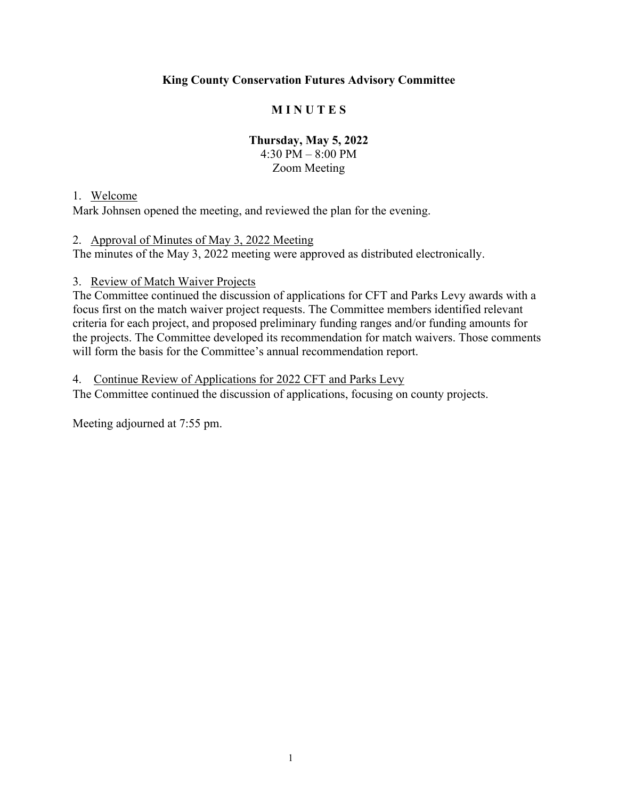# **King County Conservation Futures Advisory Committee**

# **M I N U T E S**

# **Thursday, May 5, 2022**

4:30 PM – 8:00 PM Zoom Meeting

#### 1. Welcome

Mark Johnsen opened the meeting, and reviewed the plan for the evening.

#### 2. Approval of Minutes of May 3, 2022 Meeting

The minutes of the May 3, 2022 meeting were approved as distributed electronically.

#### 3. Review of Match Waiver Projects

The Committee continued the discussion of applications for CFT and Parks Levy awards with a focus first on the match waiver project requests. The Committee members identified relevant criteria for each project, and proposed preliminary funding ranges and/or funding amounts for the projects. The Committee developed its recommendation for match waivers. Those comments will form the basis for the Committee's annual recommendation report.

#### 4. Continue Review of Applications for 2022 CFT and Parks Levy

The Committee continued the discussion of applications, focusing on county projects.

Meeting adjourned at 7:55 pm.